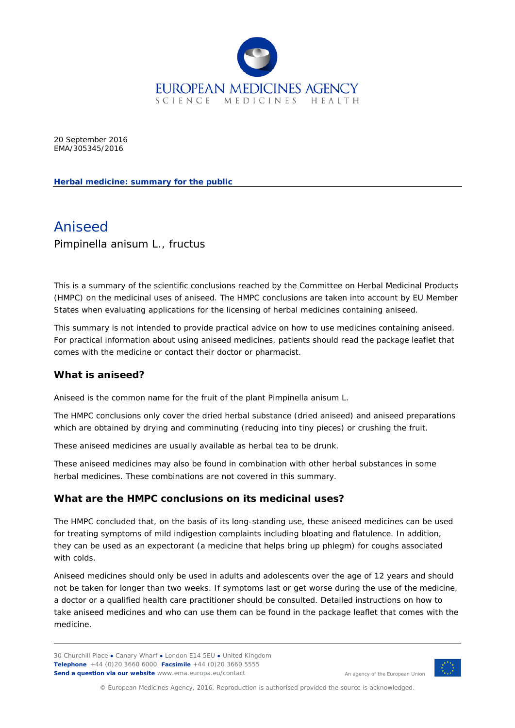

20 September 2016 EMA/305345/2016

**Herbal medicine: summary for the public**

# Aniseed *Pimpinella anisum* L., fructus

This is a summary of the scientific conclusions reached by the Committee on Herbal Medicinal Products (HMPC) on the medicinal uses of aniseed. The HMPC conclusions are taken into account by EU Member States when evaluating applications for the licensing of herbal medicines containing aniseed.

This summary is not intended to provide practical advice on how to use medicines containing aniseed. For practical information about using aniseed medicines, patients should read the package leaflet that comes with the medicine or contact their doctor or pharmacist.

#### **What is aniseed?**

Aniseed is the common name for the fruit of the plant *Pimpinella anisum* L.

The HMPC conclusions only cover the dried herbal substance (dried aniseed) and aniseed preparations which are obtained by drying and comminuting (reducing into tiny pieces) or crushing the fruit.

These aniseed medicines are usually available as herbal tea to be drunk.

These aniseed medicines may also be found in combination with other herbal substances in some herbal medicines. These combinations are not covered in this summary.

#### **What are the HMPC conclusions on its medicinal uses?**

The HMPC concluded that, on the basis of its long-standing use, these aniseed medicines can be used for treating symptoms of mild indigestion complaints including bloating and flatulence. In addition, they can be used as an expectorant (a medicine that helps bring up phlegm) for coughs associated with colds.

Aniseed medicines should only be used in adults and adolescents over the age of 12 years and should not be taken for longer than two weeks. If symptoms last or get worse during the use of the medicine, a doctor or a qualified health care practitioner should be consulted. Detailed instructions on how to take aniseed medicines and who can use them can be found in the package leaflet that comes with the medicine.

30 Churchill Place **●** Canary Wharf **●** London E14 5EU **●** United Kingdom **Telephone** +44 (0)20 3660 6000 **Facsimile** +44 (0)20 3660 5555 **Send a question via our website** www.ema.europa.eu/contact



An agency of the European Union

© European Medicines Agency, 2016. Reproduction is authorised provided the source is acknowledged.